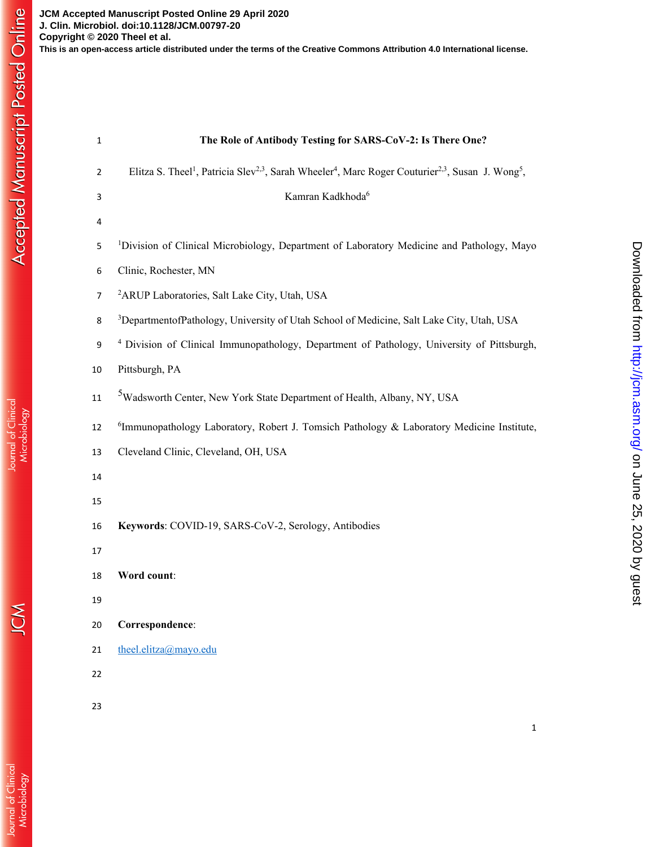Journal of Clinical<br>Microbiology

| $\mathbf 1$    | The Role of Antibody Testing for SARS-CoV-2: Is There One?                                                                                                    |
|----------------|---------------------------------------------------------------------------------------------------------------------------------------------------------------|
| $\overline{2}$ | Elitza S. Theel <sup>1</sup> , Patricia Slev <sup>2,3</sup> , Sarah Wheeler <sup>4</sup> , Marc Roger Couturier <sup>2,3</sup> , Susan J. Wong <sup>5</sup> , |
| 3              | Kamran Kadkhoda <sup>6</sup>                                                                                                                                  |
| 4              |                                                                                                                                                               |
| 5              | <sup>1</sup> Division of Clinical Microbiology, Department of Laboratory Medicine and Pathology, Mayo                                                         |
| 6              | Clinic, Rochester, MN                                                                                                                                         |
| $\overline{7}$ | <sup>2</sup> ARUP Laboratories, Salt Lake City, Utah, USA                                                                                                     |
| 8              | <sup>3</sup> DepartmentofPathology, University of Utah School of Medicine, Salt Lake City, Utah, USA                                                          |
| 9              | <sup>4</sup> Division of Clinical Immunopathology, Department of Pathology, University of Pittsburgh,                                                         |
| 10             | Pittsburgh, PA                                                                                                                                                |
| $11\,$         | <sup>5</sup> Wadsworth Center, New York State Department of Health, Albany, NY, USA                                                                           |
| 12             | <sup>6</sup> Immunopathology Laboratory, Robert J. Tomsich Pathology & Laboratory Medicine Institute,                                                         |
| 13             | Cleveland Clinic, Cleveland, OH, USA                                                                                                                          |
| 14             |                                                                                                                                                               |
| 15             |                                                                                                                                                               |
| 16             | Keywords: COVID-19, SARS-CoV-2, Serology, Antibodies                                                                                                          |
| 17             |                                                                                                                                                               |
| 18             | Word count:                                                                                                                                                   |
| 19             |                                                                                                                                                               |
| 20             | Correspondence:                                                                                                                                               |
| 21             | theel.elitza@mayo.edu                                                                                                                                         |
| 22             |                                                                                                                                                               |

23

on June 25, 2020 by guest <http://jcm.asm.org/> Downloaded from

Downloaded from http://jcm.asm.org/ on June 25, 2020 by guest

1

JCM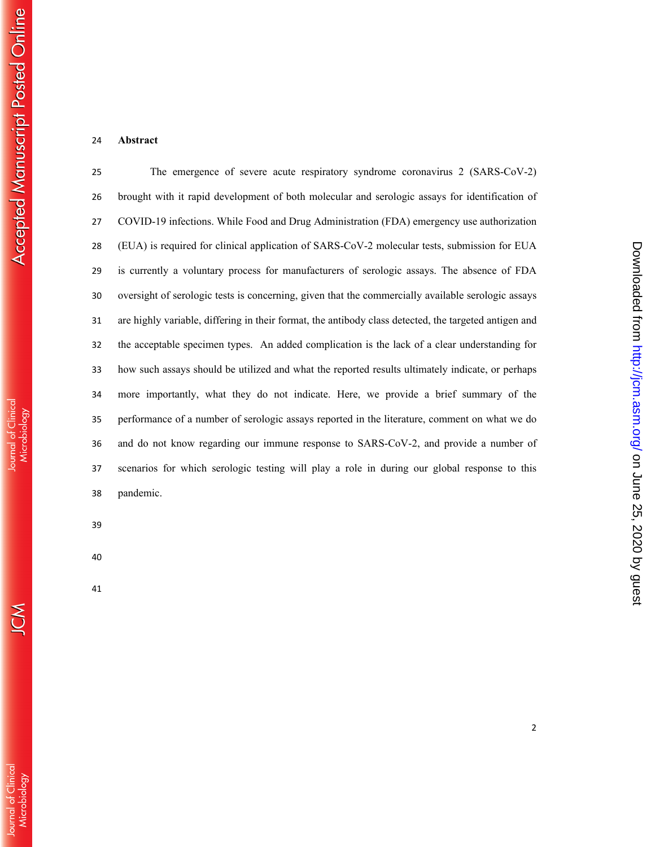## **Abstract**

The emergence of severe acute respiratory syndrome coronavirus 2 (SARS-CoV-2) brought with it rapid development of both molecular and serologic assays for identification of COVID-19 infections. While Food and Drug Administration (FDA) emergency use authorization (EUA) is required for clinical application of SARS-CoV-2 molecular tests, submission for EUA is currently a voluntary process for manufacturers of serologic assays. The absence of FDA oversight of serologic tests is concerning, given that the commercially available serologic assays are highly variable, differing in their format, the antibody class detected, the targeted antigen and the acceptable specimen types. An added complication is the lack of a clear understanding for how such assays should be utilized and what the reported results ultimately indicate, or perhaps more importantly, what they do not indicate. Here, we provide a brief summary of the performance of a number of serologic assays reported in the literature, comment on what we do and do not know regarding our immune response to SARS-CoV-2, and provide a number of scenarios for which serologic testing will play a role in during our global response to this pandemic.

 $\sum_{i=1}^{n}$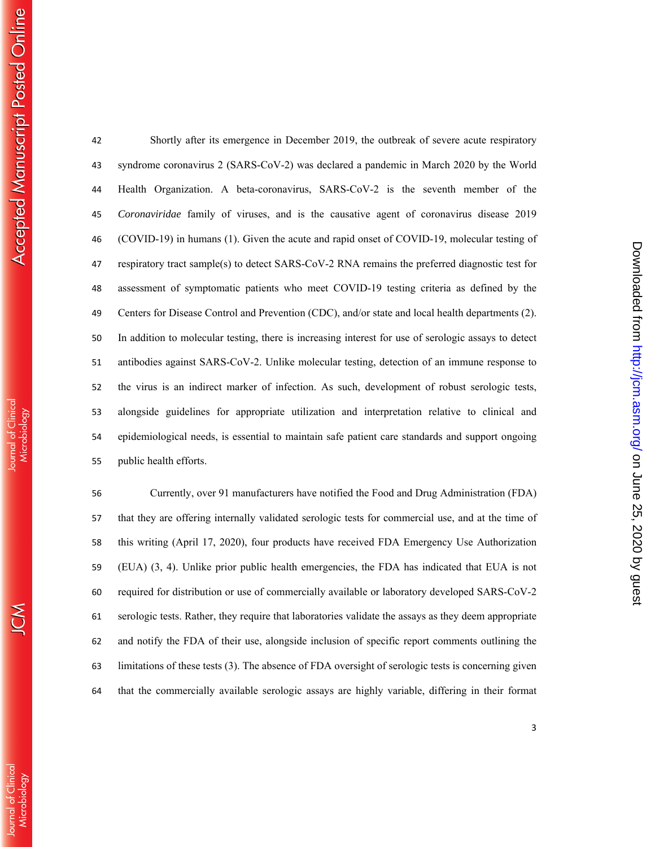Shortly after its emergence in December 2019, the outbreak of severe acute respiratory syndrome coronavirus 2 (SARS-CoV-2) was declared a pandemic in March 2020 by the World Health Organization. A beta-coronavirus, SARS-CoV-2 is the seventh member of the *Coronaviridae* family of viruses, and is the causative agent of coronavirus disease 2019 (COVID-19) in humans (1). Given the acute and rapid onset of COVID-19, molecular testing of respiratory tract sample(s) to detect SARS-CoV-2 RNA remains the preferred diagnostic test for assessment of symptomatic patients who meet COVID-19 testing criteria as defined by the Centers for Disease Control and Prevention (CDC), and/or state and local health departments (2). In addition to molecular testing, there is increasing interest for use of serologic assays to detect antibodies against SARS-CoV-2. Unlike molecular testing, detection of an immune response to the virus is an indirect marker of infection. As such, development of robust serologic tests, alongside guidelines for appropriate utilization and interpretation relative to clinical and epidemiological needs, is essential to maintain safe patient care standards and support ongoing public health efforts.

Currently, over 91 manufacturers have notified the Food and Drug Administration (FDA) that they are offering internally validated serologic tests for commercial use, and at the time of this writing (April 17, 2020), four products have received FDA Emergency Use Authorization (EUA) (3, 4). Unlike prior public health emergencies, the FDA has indicated that EUA is not required for distribution or use of commercially available or laboratory developed SARS-CoV-2 serologic tests. Rather, they require that laboratories validate the assays as they deem appropriate and notify the FDA of their use, alongside inclusion of specific report comments outlining the limitations of these tests (3). The absence of FDA oversight of serologic tests is concerning given that the commercially available serologic assays are highly variable, differing in their format

on June 25, 2020 by guest <http://jcm.asm.org/> Downloaded from

Downloaded from http://jcm.asm.org/ on June 25, 2020 by guest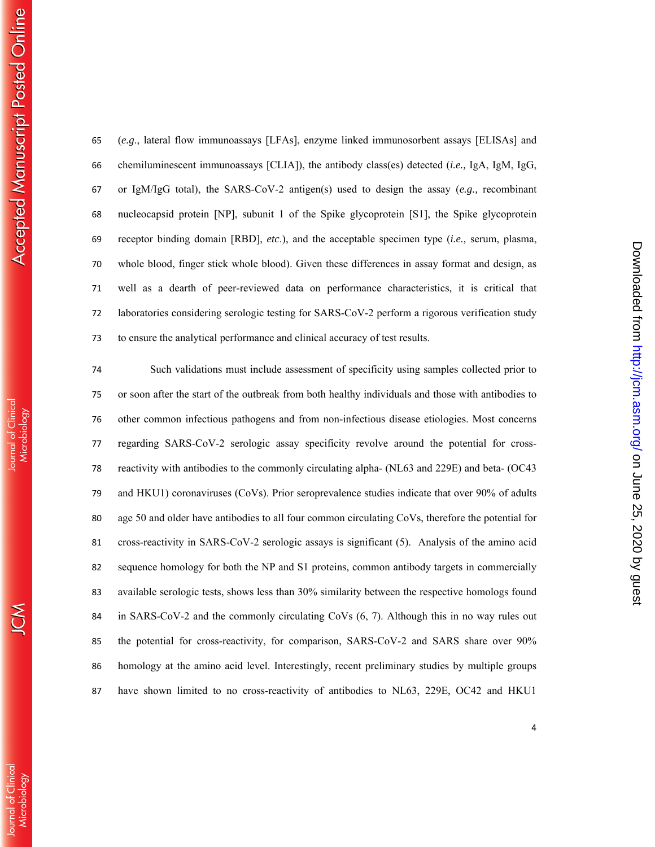| 81 | cross-reactivity in SARS-  |
|----|----------------------------|
| 82 | sequence homology for b    |
| 83 | available serologic tests, |
| 84 | in SARS-CoV-2 and the      |
| 85 | the potential for cross-re |
| 86 | homology at the amino a    |
| 87 | have shown limited to      |
|    |                            |
|    |                            |
|    |                            |

| 65 | $(e.g.,$ lateral flow immunoassays [LFAs], enzyme linked immunosorbent assays [ELISAs] and      |
|----|-------------------------------------------------------------------------------------------------|
| 66 | chemiluminescent immunoassays [CLIA]), the antibody class(es) detected $(i.e., IgA, IgM, IgG,$  |
| 67 | or IgM/IgG total), the SARS-CoV-2 antigen(s) used to design the assay (e.g., recombinant        |
| 68 | nucleocapsid protein [NP], subunit 1 of the Spike glycoprotein [S1], the Spike glycoprotein     |
| 69 | receptor binding domain [RBD], etc.), and the acceptable specimen type (i.e., serum, plasma,    |
| 70 | whole blood, finger stick whole blood). Given these differences in assay format and design, as  |
| 71 | well as a dearth of peer-reviewed data on performance characteristics, it is critical that      |
| 72 | laboratories considering serologic testing for SARS-CoV-2 perform a rigorous verification study |
| 73 | to ensure the analytical performance and clinical accuracy of test results.                     |

74 Such validations must include assessment of specificity using samples collected prior to 75 or soon after the start of the outbreak from both healthy individuals and those with antibodies to 76 other common infectious pathogens and from non-infectious disease etiologies. Most concerns 77 regarding SARS-CoV-2 serologic assay specificity revolve around the potential for cross-78 reactivity with antibodies to the commonly circulating alpha- (NL63 and 229E) and beta- (OC43 79 and HKU1) coronaviruses (CoVs). Prior seroprevalence studies indicate that over 90% of adults 80 age 50 and older have antibodies to all four common circulating CoVs, therefore the potential for -CoV-2 serologic assays is significant (5). Analysis of the amino acid ooth the NP and S1 proteins, common antibody targets in commercially shows less than 30% similarity between the respective homologs found commonly circulating CoVs  $(6, 7)$ . Although this in no way rules out eactivity, for comparison, SARS-CoV-2 and SARS share over 90% acid level. Interestingly, recent preliminary studies by multiple groups no cross-reactivity of antibodies to NL63, 229E, OC42 and HKU1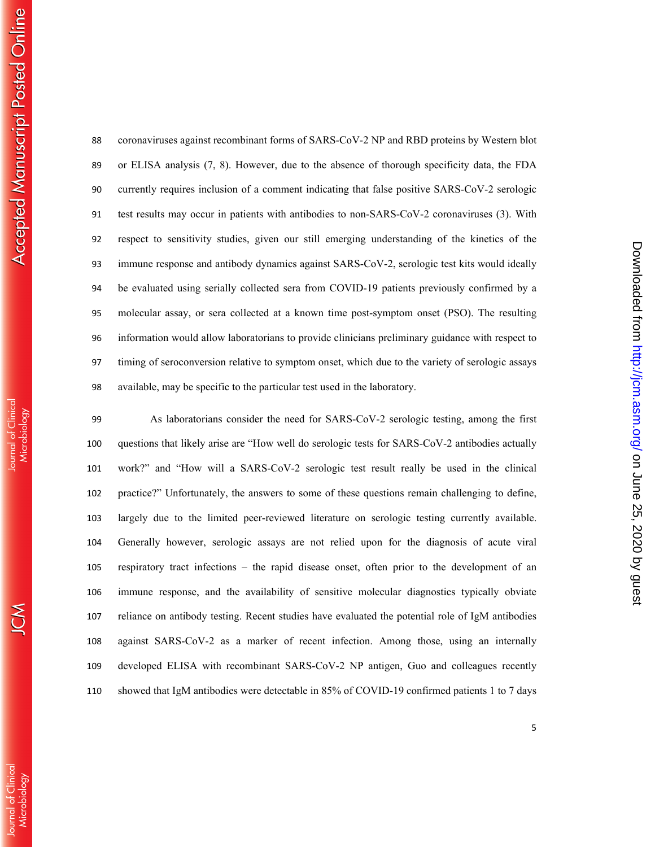on June 25, 2020 by guest <http://jcm.asm.org/> Downloaded from

Downloaded from http://jcm.asm.org/ on June 25, 2020 by guest

coronaviruses against recombinant forms of SARS-CoV-2 NP and RBD proteins by Western blot or ELISA analysis (7, 8). However, due to the absence of thorough specificity data, the FDA currently requires inclusion of a comment indicating that false positive SARS-CoV-2 serologic test results may occur in patients with antibodies to non-SARS-CoV-2 coronaviruses (3). With respect to sensitivity studies, given our still emerging understanding of the kinetics of the immune response and antibody dynamics against SARS-CoV-2, serologic test kits would ideally be evaluated using serially collected sera from COVID-19 patients previously confirmed by a molecular assay, or sera collected at a known time post-symptom onset (PSO). The resulting information would allow laboratorians to provide clinicians preliminary guidance with respect to timing of seroconversion relative to symptom onset, which due to the variety of serologic assays available, may be specific to the particular test used in the laboratory.

As laboratorians consider the need for SARS-CoV-2 serologic testing, among the first questions that likely arise are "How well do serologic tests for SARS-CoV-2 antibodies actually work?" and "How will a SARS-CoV-2 serologic test result really be used in the clinical practice?" Unfortunately, the answers to some of these questions remain challenging to define, largely due to the limited peer-reviewed literature on serologic testing currently available. Generally however, serologic assays are not relied upon for the diagnosis of acute viral respiratory tract infections – the rapid disease onset, often prior to the development of an immune response, and the availability of sensitive molecular diagnostics typically obviate reliance on antibody testing. Recent studies have evaluated the potential role of IgM antibodies against SARS-CoV-2 as a marker of recent infection. Among those, using an internally developed ELISA with recombinant SARS-CoV-2 NP antigen, Guo and colleagues recently showed that IgM antibodies were detectable in 85% of COVID-19 confirmed patients 1 to 7 days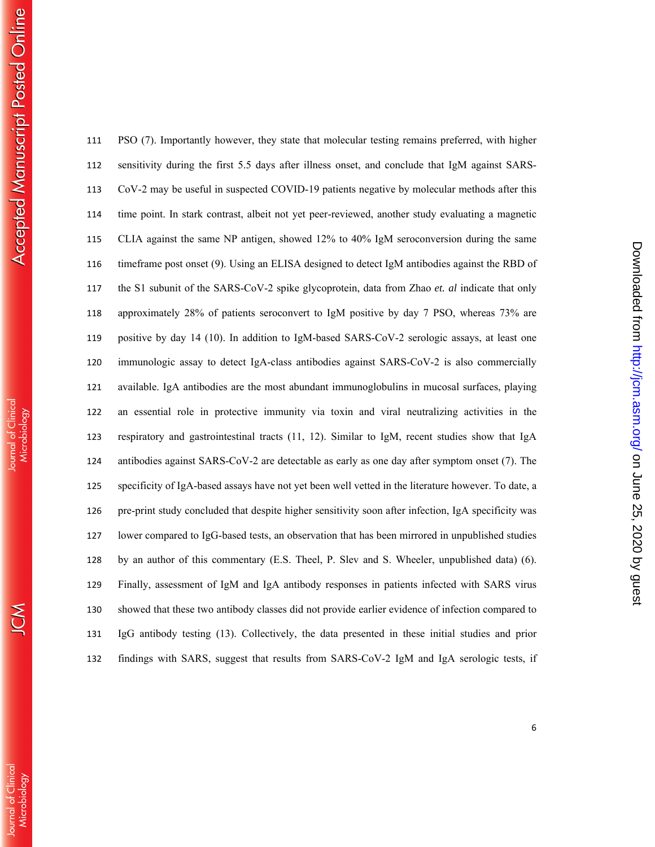| 111 | PSO (7). Importantly however, they state that molecular testing remains preferred, with higher      |
|-----|-----------------------------------------------------------------------------------------------------|
| 112 | sensitivity during the first 5.5 days after illness onset, and conclude that IgM against SARS-      |
| 113 | CoV-2 may be useful in suspected COVID-19 patients negative by molecular methods after this         |
| 114 | time point. In stark contrast, albeit not yet peer-reviewed, another study evaluating a magnetic    |
| 115 | CLIA against the same NP antigen, showed 12% to 40% IgM seroconversion during the same              |
| 116 | timeframe post onset (9). Using an ELISA designed to detect IgM antibodies against the RBD of       |
| 117 | the S1 subunit of the SARS-CoV-2 spike glycoprotein, data from Zhao et. al indicate that only       |
| 118 | approximately 28% of patients seroconvert to IgM positive by day 7 PSO, whereas 73% are             |
| 119 | positive by day 14 (10). In addition to IgM-based SARS-CoV-2 serologic assays, at least one         |
| 120 | immunologic assay to detect IgA-class antibodies against SARS-CoV-2 is also commercially            |
| 121 | available. IgA antibodies are the most abundant immunoglobulins in mucosal surfaces, playing        |
| 122 | an essential role in protective immunity via toxin and viral neutralizing activities in the         |
| 123 | respiratory and gastrointestinal tracts (11, 12). Similar to IgM, recent studies show that IgA      |
| 124 | antibodies against SARS-CoV-2 are detectable as early as one day after symptom onset (7). The       |
| 125 | specificity of IgA-based assays have not yet been well vetted in the literature however. To date, a |
| 126 | pre-print study concluded that despite higher sensitivity soon after infection, IgA specificity was |
| 127 | lower compared to IgG-based tests, an observation that has been mirrored in unpublished studies     |
| 128 | by an author of this commentary (E.S. Theel, P. Slev and S. Wheeler, unpublished data) (6).         |
| 129 | Finally, assessment of IgM and IgA antibody responses in patients infected with SARS virus          |
| 130 | showed that these two antibody classes did not provide earlier evidence of infection compared to    |
| 131 | IgG antibody testing (13). Collectively, the data presented in these initial studies and prior      |
| 132 | findings with SARS, suggest that results from SARS-CoV-2 IgM and IgA serologic tests, if            |
|     |                                                                                                     |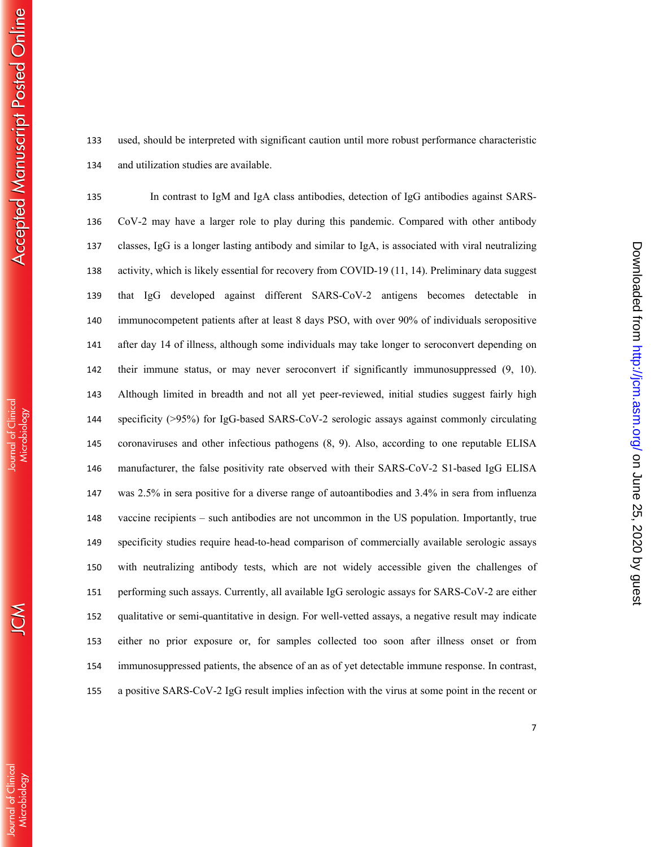used, should be interpreted with significant caution until more robust performance characteristic and utilization studies are available.

In contrast to IgM and IgA class antibodies, detection of IgG antibodies against SARS-CoV-2 may have a larger role to play during this pandemic. Compared with other antibody classes, IgG is a longer lasting antibody and similar to IgA, is associated with viral neutralizing activity, which is likely essential for recovery from COVID-19 (11, 14). Preliminary data suggest that IgG developed against different SARS-CoV-2 antigens becomes detectable in immunocompetent patients after at least 8 days PSO, with over 90% of individuals seropositive after day 14 of illness, although some individuals may take longer to seroconvert depending on their immune status, or may never seroconvert if significantly immunosuppressed (9, 10). Although limited in breadth and not all yet peer-reviewed, initial studies suggest fairly high specificity (>95%) for IgG-based SARS-CoV-2 serologic assays against commonly circulating coronaviruses and other infectious pathogens (8, 9). Also, according to one reputable ELISA manufacturer, the false positivity rate observed with their SARS-CoV-2 S1-based IgG ELISA was 2.5% in sera positive for a diverse range of autoantibodies and 3.4% in sera from influenza vaccine recipients – such antibodies are not uncommon in the US population. Importantly, true specificity studies require head-to-head comparison of commercially available serologic assays with neutralizing antibody tests, which are not widely accessible given the challenges of performing such assays. Currently, all available IgG serologic assays for SARS-CoV-2 are either qualitative or semi-quantitative in design. For well-vetted assays, a negative result may indicate either no prior exposure or, for samples collected too soon after illness onset or from immunosuppressed patients, the absence of an as of yet detectable immune response. In contrast, a positive SARS-CoV-2 IgG result implies infection with the virus at some point in the recent or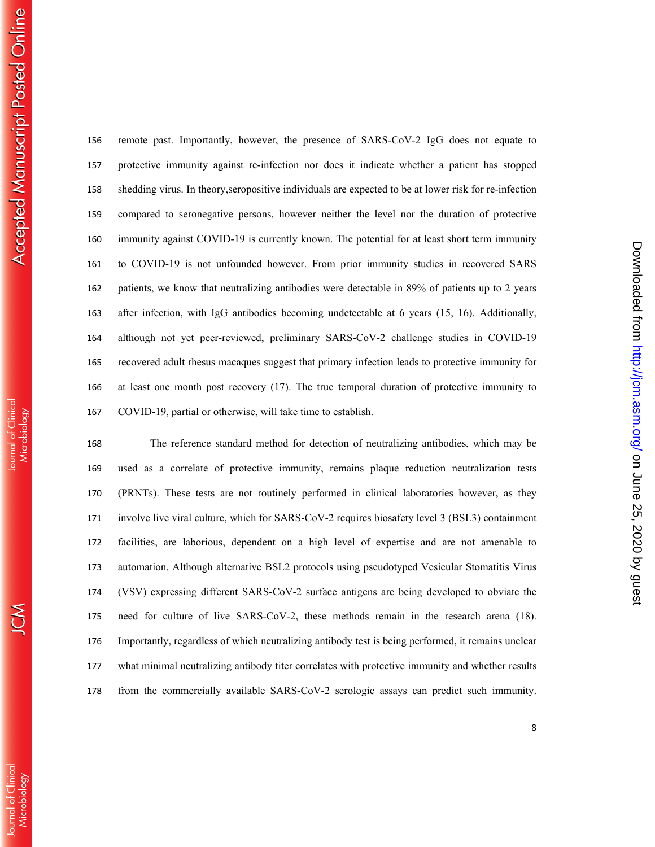ournal of Clinica

remote past. Importantly, however, the presence of SARS-CoV-2 IgG does not equate to protective immunity against re-infection nor does it indicate whether a patient has stopped shedding virus. In theory,seropositive individuals are expected to be at lower risk for re-infection compared to seronegative persons, however neither the level nor the duration of protective immunity against COVID-19 is currently known. The potential for at least short term immunity to COVID-19 is not unfounded however. From prior immunity studies in recovered SARS patients, we know that neutralizing antibodies were detectable in 89% of patients up to 2 years after infection, with IgG antibodies becoming undetectable at 6 years (15, 16). Additionally, although not yet peer-reviewed, preliminary SARS-CoV-2 challenge studies in COVID-19 recovered adult rhesus macaques suggest that primary infection leads to protective immunity for at least one month post recovery (17). The true temporal duration of protective immunity to COVID-19, partial or otherwise, will take time to establish.

The reference standard method for detection of neutralizing antibodies, which may be used as a correlate of protective immunity, remains plaque reduction neutralization tests (PRNTs). These tests are not routinely performed in clinical laboratories however, as they involve live viral culture, which for SARS-CoV-2 requires biosafety level 3 (BSL3) containment facilities, are laborious, dependent on a high level of expertise and are not amenable to automation. Although alternative BSL2 protocols using pseudotyped Vesicular Stomatitis Virus (VSV) expressing different SARS-CoV-2 surface antigens are being developed to obviate the need for culture of live SARS-CoV-2, these methods remain in the research arena (18). Importantly, regardless of which neutralizing antibody test is being performed, it remains unclear what minimal neutralizing antibody titer correlates with protective immunity and whether results from the commercially available SARS-CoV-2 serologic assays can predict such immunity.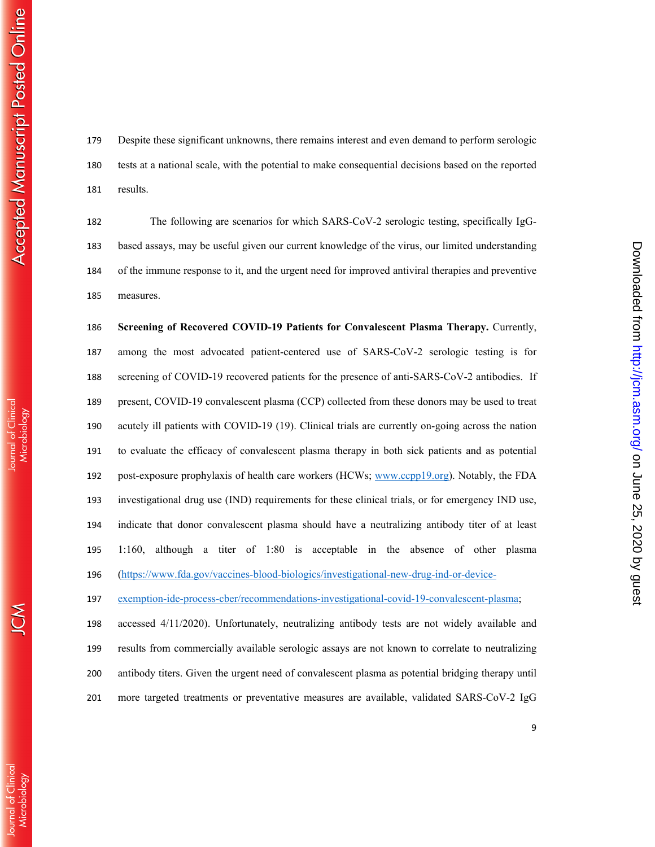Despite these significant unknowns, there remains interest and even demand to perform serologic tests at a national scale, with the potential to make consequential decisions based on the reported results.

The following are scenarios for which SARS-CoV-2 serologic testing, specifically IgG-based assays, may be useful given our current knowledge of the virus, our limited understanding of the immune response to it, and the urgent need for improved antiviral therapies and preventive measures.

**Screening of Recovered COVID-19 Patients for Convalescent Plasma Therapy.** Currently, among the most advocated patient-centered use of SARS-CoV-2 serologic testing is for screening of COVID-19 recovered patients for the presence of anti-SARS-CoV-2 antibodies. If present, COVID-19 convalescent plasma (CCP) collected from these donors may be used to treat acutely ill patients with COVID-19 (19). Clinical trials are currently on-going across the nation to evaluate the efficacy of convalescent plasma therapy in both sick patients and as potential post-exposure prophylaxis of health care workers (HCWs; www.ccpp19.org). Notably, the FDA investigational drug use (IND) requirements for these clinical trials, or for emergency IND use, indicate that donor convalescent plasma should have a neutralizing antibody titer of at least 1:160, although a titer of 1:80 is acceptable in the absence of other plasma (https://www.fda.gov/vaccines-blood-biologics/investigational-new-drug-ind-or-device-

exemption-ide-process-cber/recommendations-investigational-covid-19-convalescent-plasma;

accessed 4/11/2020). Unfortunately, neutralizing antibody tests are not widely available and results from commercially available serologic assays are not known to correlate to neutralizing antibody titers. Given the urgent need of convalescent plasma as potential bridging therapy until more targeted treatments or preventative measures are available, validated SARS-CoV-2 IgG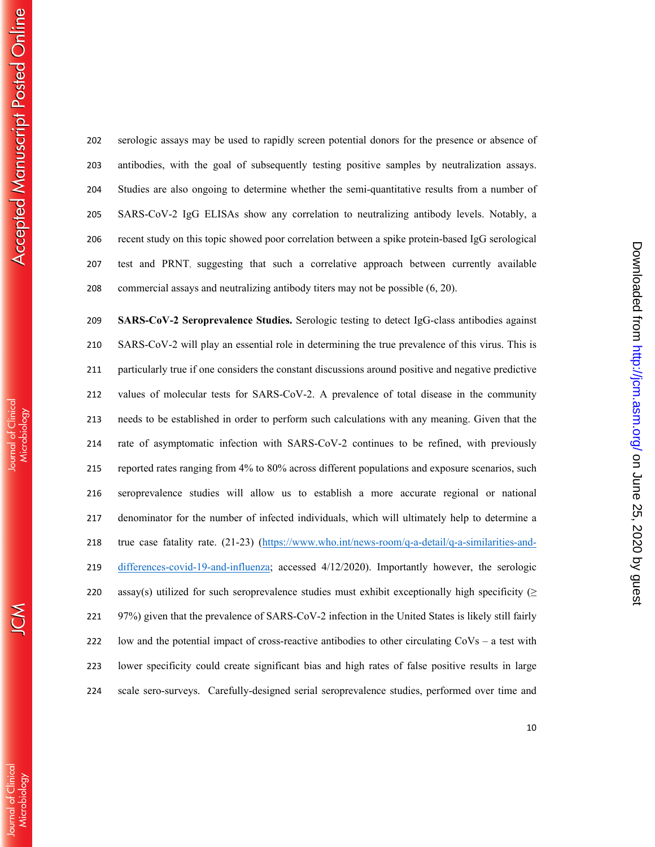serologic assays may be used to rapidly screen potential donors for the presence or absence of antibodies, with the goal of subsequently testing positive samples by neutralization assays. Studies are also ongoing to determine whether the semi-quantitative results from a number of SARS-CoV-2 IgG ELISAs show any correlation to neutralizing antibody levels. Notably, a recent study on this topic showed poor correlation between a spike protein-based IgG serological test and PRNT, suggesting that such a correlative approach between currently available commercial assays and neutralizing antibody titers may not be possible (6, 20).

**SARS-CoV-2 Seroprevalence Studies.** Serologic testing to detect IgG-class antibodies against SARS-CoV-2 will play an essential role in determining the true prevalence of this virus. This is particularly true if one considers the constant discussions around positive and negative predictive values of molecular tests for SARS-CoV-2. A prevalence of total disease in the community needs to be established in order to perform such calculations with any meaning. Given that the rate of asymptomatic infection with SARS-CoV-2 continues to be refined, with previously reported rates ranging from 4% to 80% across different populations and exposure scenarios, such seroprevalence studies will allow us to establish a more accurate regional or national denominator for the number of infected individuals, which will ultimately help to determine a true case fatality rate. (21-23) (https://www.who.int/news-room/q-a-detail/q-a-similarities-and-differences-covid-19-and-influenza; accessed 4/12/2020). Importantly however, the serologic 220 assay(s) utilized for such seroprevalence studies must exhibit exceptionally high specificity ( $\geq$ 97%) given that the prevalence of SARS-CoV-2 infection in the United States is likely still fairly low and the potential impact of cross-reactive antibodies to other circulating CoVs – a test with lower specificity could create significant bias and high rates of false positive results in large scale sero-surveys. Carefully-designed serial seroprevalence studies, performed over time and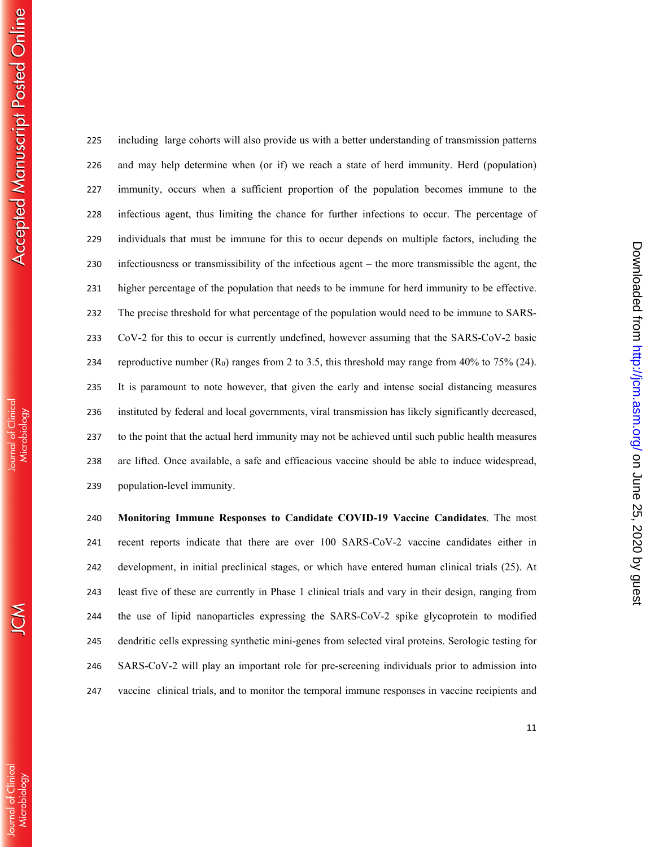including large cohorts will also provide us with a better understanding of transmission patterns and may help determine when (or if) we reach a state of herd immunity. Herd (population) immunity, occurs when a sufficient proportion of the population becomes immune to the infectious agent, thus limiting the chance for further infections to occur. The percentage of individuals that must be immune for this to occur depends on multiple factors, including the infectiousness or transmissibility of the infectious agent – the more transmissible the agent, the higher percentage of the population that needs to be immune for herd immunity to be effective. The precise threshold for what percentage of the population would need to be immune to SARS-CoV-2 for this to occur is currently undefined, however assuming that the SARS-CoV-2 basic 234 reproductive number  $(R_0)$  ranges from 2 to 3.5, this threshold may range from 40% to 75% (24). It is paramount to note however, that given the early and intense social distancing measures instituted by federal and local governments, viral transmission has likely significantly decreased, to the point that the actual herd immunity may not be achieved until such public health measures are lifted. Once available, a safe and efficacious vaccine should be able to induce widespread, population-level immunity.

**Monitoring Immune Responses to Candidate COVID-19 Vaccine Candidates**. The most recent reports indicate that there are over 100 SARS-CoV-2 vaccine candidates either in development, in initial preclinical stages, or which have entered human clinical trials (25). At least five of these are currently in Phase 1 clinical trials and vary in their design, ranging from the use of lipid nanoparticles expressing the SARS-CoV-2 spike glycoprotein to modified dendritic cells expressing synthetic mini-genes from selected viral proteins. Serologic testing for SARS-CoV-2 will play an important role for pre-screening individuals prior to admission into vaccine clinical trials, and to monitor the temporal immune responses in vaccine recipients and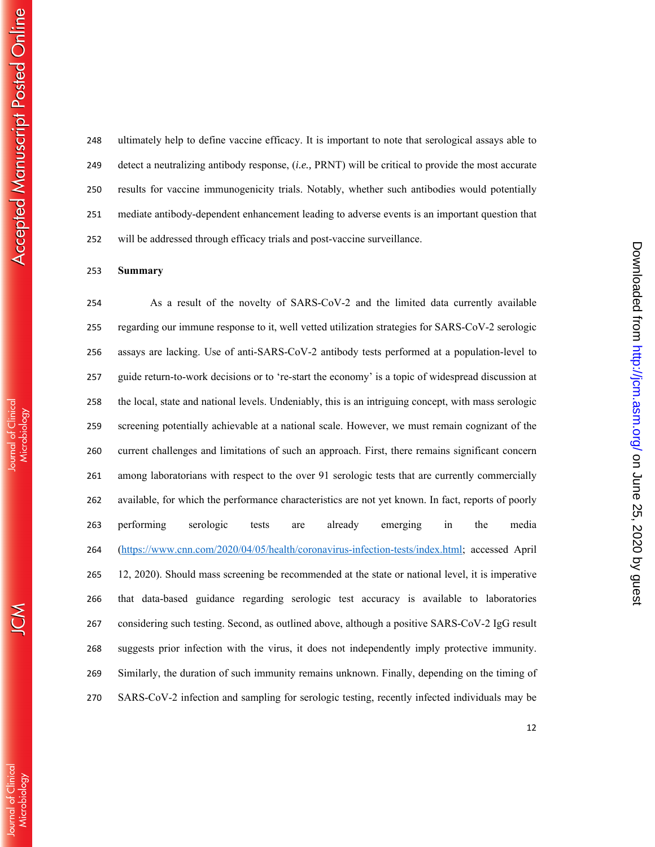ournal of Clinica

ultimately help to define vaccine efficacy. It is important to note that serological assays able to detect a neutralizing antibody response, (*i.e.,* PRNT) will be critical to provide the most accurate results for vaccine immunogenicity trials. Notably, whether such antibodies would potentially mediate antibody-dependent enhancement leading to adverse events is an important question that will be addressed through efficacy trials and post-vaccine surveillance.

## **Summary**

As a result of the novelty of SARS-CoV-2 and the limited data currently available regarding our immune response to it, well vetted utilization strategies for SARS-CoV-2 serologic assays are lacking. Use of anti-SARS-CoV-2 antibody tests performed at a population-level to guide return-to-work decisions or to 're-start the economy' is a topic of widespread discussion at the local, state and national levels. Undeniably, this is an intriguing concept, with mass serologic screening potentially achievable at a national scale. However, we must remain cognizant of the current challenges and limitations of such an approach. First, there remains significant concern among laboratorians with respect to the over 91 serologic tests that are currently commercially available, for which the performance characteristics are not yet known. In fact, reports of poorly performing serologic tests are already emerging in the media (https://www.cnn.com/2020/04/05/health/coronavirus-infection-tests/index.html; accessed April 12, 2020). Should mass screening be recommended at the state or national level, it is imperative that data-based guidance regarding serologic test accuracy is available to laboratories considering such testing. Second, as outlined above, although a positive SARS-CoV-2 IgG result suggests prior infection with the virus, it does not independently imply protective immunity. Similarly, the duration of such immunity remains unknown. Finally, depending on the timing of SARS-CoV-2 infection and sampling for serologic testing, recently infected individuals may be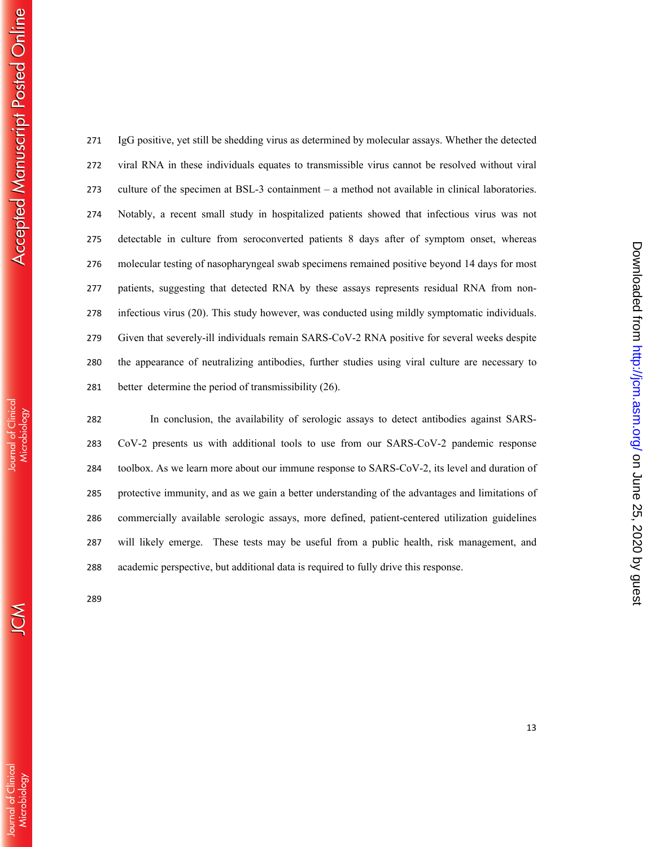$\mathcal{S}% _{M_{1},M_{2}}^{\alpha,\beta}(\varepsilon)=\mathcal{S}_{M_{1},M_{2}}^{\alpha,\beta}(\varepsilon)$ 

IgG positive, yet still be shedding virus as determined by molecular assays. Whether the detected viral RNA in these individuals equates to transmissible virus cannot be resolved without viral culture of the specimen at BSL-3 containment – a method not available in clinical laboratories. Notably, a recent small study in hospitalized patients showed that infectious virus was not detectable in culture from seroconverted patients 8 days after of symptom onset, whereas molecular testing of nasopharyngeal swab specimens remained positive beyond 14 days for most patients, suggesting that detected RNA by these assays represents residual RNA from non-infectious virus (20). This study however, was conducted using mildly symptomatic individuals. Given that severely-ill individuals remain SARS-CoV-2 RNA positive for several weeks despite the appearance of neutralizing antibodies, further studies using viral culture are necessary to better determine the period of transmissibility (26).

In conclusion, the availability of serologic assays to detect antibodies against SARS-CoV-2 presents us with additional tools to use from our SARS-CoV-2 pandemic response toolbox. As we learn more about our immune response to SARS-CoV-2, its level and duration of protective immunity, and as we gain a better understanding of the advantages and limitations of commercially available serologic assays, more defined, patient-centered utilization guidelines will likely emerge. These tests may be useful from a public health, risk management, and academic perspective, but additional data is required to fully drive this response.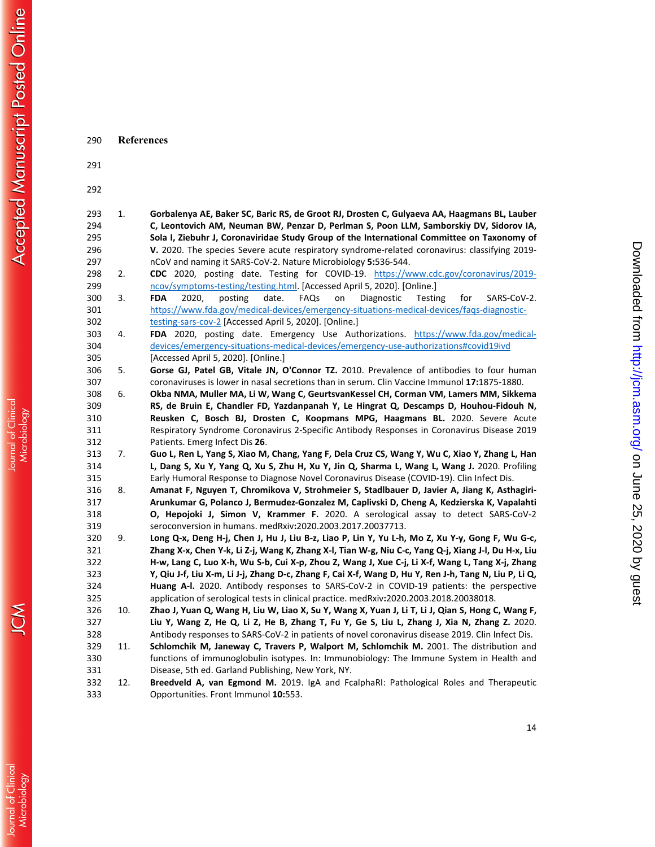| 290        | <b>References</b> |                                                                                                                                                                                    |
|------------|-------------------|------------------------------------------------------------------------------------------------------------------------------------------------------------------------------------|
| 291        |                   |                                                                                                                                                                                    |
| 292        |                   |                                                                                                                                                                                    |
| 293        | 1.                | Gorbalenya AE, Baker SC, Baric RS, de Groot RJ, Drosten C, Gulyaeva AA, Haagmans BL, Lauber                                                                                        |
| 294        |                   | C, Leontovich AM, Neuman BW, Penzar D, Perlman S, Poon LLM, Samborskiy DV, Sidorov IA,                                                                                             |
| 295        |                   | Sola I, Ziebuhr J, Coronaviridae Study Group of the International Committee on Taxonomy of                                                                                         |
| 296        |                   | V. 2020. The species Severe acute respiratory syndrome-related coronavirus: classifying 2019-                                                                                      |
| 297        |                   | nCoV and naming it SARS-CoV-2. Nature Microbiology 5:536-544.                                                                                                                      |
| 298        | 2.                | CDC 2020, posting date. Testing for COVID-19. https://www.cdc.gov/coronavirus/2019-                                                                                                |
| 299        |                   | ncov/symptoms-testing/testing.html. [Accessed April 5, 2020]. [Online.]                                                                                                            |
| 300        | 3.                | <b>FDA</b><br>posting<br>date.<br>FAQs<br>Testing<br>2020,<br>on<br>Diagnostic<br>for<br>SARS-CoV-2.                                                                               |
| 301        |                   | https://www.fda.gov/medical-devices/emergency-situations-medical-devices/faqs-diagnostic-                                                                                          |
| 302        |                   | testing-sars-cov-2 [Accessed April 5, 2020]. [Online.]                                                                                                                             |
| 303        | 4.                | FDA 2020, posting date. Emergency Use Authorizations. https://www.fda.gov/medical-                                                                                                 |
| 304        |                   | devices/emergency-situations-medical-devices/emergency-use-authorizations#covid19ivd                                                                                               |
| 305        |                   | [Accessed April 5, 2020]. [Online.]                                                                                                                                                |
| 306        | 5.                | Gorse GJ, Patel GB, Vitale JN, O'Connor TZ. 2010. Prevalence of antibodies to four human                                                                                           |
| 307        |                   | coronaviruses is lower in nasal secretions than in serum. Clin Vaccine Immunol 17:1875-1880.                                                                                       |
| 308        | 6.                | Okba NMA, Muller MA, Li W, Wang C, GeurtsvanKessel CH, Corman VM, Lamers MM, Sikkema                                                                                               |
| 309        |                   | RS, de Bruin E, Chandler FD, Yazdanpanah Y, Le Hingrat Q, Descamps D, Houhou-Fidouh N,                                                                                             |
| 310        |                   | Reusken C, Bosch BJ, Drosten C, Koopmans MPG, Haagmans BL. 2020. Severe Acute                                                                                                      |
| 311        |                   | Respiratory Syndrome Coronavirus 2-Specific Antibody Responses in Coronavirus Disease 2019                                                                                         |
| 312        |                   | Patients. Emerg Infect Dis 26.                                                                                                                                                     |
| 313        | 7.                | Guo L, Ren L, Yang S, Xiao M, Chang, Yang F, Dela Cruz CS, Wang Y, Wu C, Xiao Y, Zhang L, Han                                                                                      |
| 314        |                   | L, Dang S, Xu Y, Yang Q, Xu S, Zhu H, Xu Y, Jin Q, Sharma L, Wang L, Wang J. 2020. Profiling                                                                                       |
| 315        |                   | Early Humoral Response to Diagnose Novel Coronavirus Disease (COVID-19). Clin Infect Dis.                                                                                          |
| 316        | 8.                | Amanat F, Nguyen T, Chromikova V, Strohmeier S, Stadlbauer D, Javier A, Jiang K, Asthagiri-                                                                                        |
| 317        |                   | Arunkumar G, Polanco J, Bermudez-Gonzalez M, Caplivski D, Cheng A, Kedzierska K, Vapalahti                                                                                         |
| 318        |                   | O, Hepojoki J, Simon V, Krammer F. 2020. A serological assay to detect SARS-CoV-2                                                                                                  |
| 319        |                   | seroconversion in humans. medRxiv:2020.2003.2017.20037713.                                                                                                                         |
| 320        | 9.                | Long Q-x, Deng H-j, Chen J, Hu J, Liu B-z, Liao P, Lin Y, Yu L-h, Mo Z, Xu Y-y, Gong F, Wu G-c,                                                                                    |
| 321        |                   | Zhang X-x, Chen Y-k, Li Z-j, Wang K, Zhang X-l, Tian W-g, Niu C-c, Yang Q-j, Xiang J-l, Du H-x, Liu                                                                                |
| 322        |                   | H-w, Lang C, Luo X-h, Wu S-b, Cui X-p, Zhou Z, Wang J, Xue C-j, Li X-f, Wang L, Tang X-j, Zhang                                                                                    |
| 323        |                   | Y, Qiu J-f, Liu X-m, Li J-j, Zhang D-c, Zhang F, Cai X-f, Wang D, Hu Y, Ren J-h, Tang N, Liu P, Li Q,                                                                              |
| 324        |                   | Huang A-I. 2020. Antibody responses to SARS-CoV-2 in COVID-19 patients: the perspective<br>application of serological tests in clinical practice. medRxiv:2020.2003.2018.20038018. |
| 325        |                   |                                                                                                                                                                                    |
| 326        | 10.               | Zhao J, Yuan Q, Wang H, Liu W, Liao X, Su Y, Wang X, Yuan J, Li T, Li J, Qian S, Hong C, Wang F,                                                                                   |
| 327        |                   | Liu Y, Wang Z, He Q, Li Z, He B, Zhang T, Fu Y, Ge S, Liu L, Zhang J, Xia N, Zhang Z. 2020.                                                                                        |
| 328        |                   | Antibody responses to SARS-CoV-2 in patients of novel coronavirus disease 2019. Clin Infect Dis.                                                                                   |
| 329        | 11.               | Schlomchik M, Janeway C, Travers P, Walport M, Schlomchik M. 2001. The distribution and                                                                                            |
| 330<br>331 |                   | functions of immunoglobulin isotypes. In: Immunobiology: The Immune System in Health and<br>Disease, 5th ed. Garland Publishing, New York, NY.                                     |
| 332        | 12.               | Breedveld A, van Egmond M. 2019. IgA and FcalphaRI: Pathological Roles and Therapeutic                                                                                             |
| 333        |                   | Opportunities. Front Immunol 10:553.                                                                                                                                               |